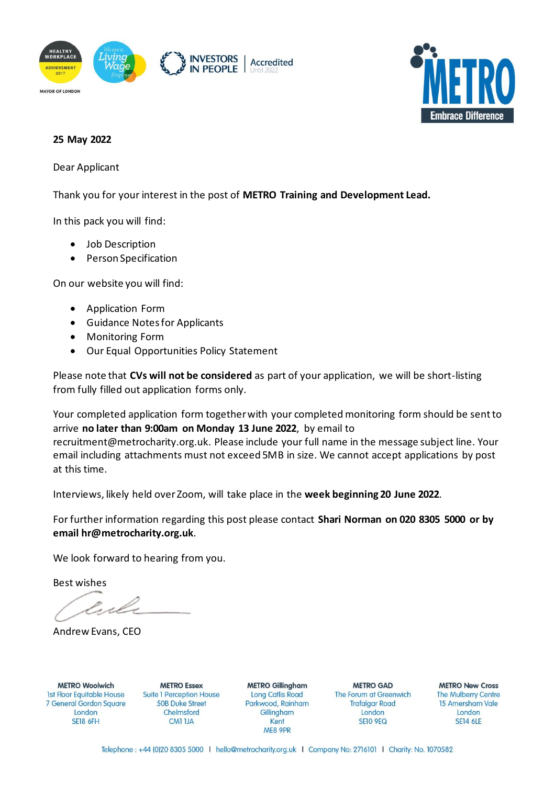



#### **25 May 2022**

Dear Applicant

Thank you for your interest in the post of **METRO Training and Development Lead.** 

In this pack you will find:

- Job Description
- Person Specification

On our website you will find:

- Application Form
- Guidance Notes for Applicants
- Monitoring Form
- Our Equal Opportunities Policy Statement

Please note that **CVs will not be considered** as part of your application, we will be short-listing from fully filled out application forms only.

Your completed application form together with your completedmonitoring form should be sent to arrive **no later than 9:00am on Monday 13 June 2022**, by email to recruitment@metrocharity.org.uk. Please include your full name in the message subject line. Your email including attachments must not exceed 5MB in size. We cannot accept applications by post at this time.

Interviews, likely held over Zoom, will take place in the **week beginning 20 June 2022**.

For further information regarding this post please contact **Shari Norman on 020 8305 5000 or by email hr@metrocharity.org.uk**.

We look forward to hearing from you.

Best wishes

Andrew Evans, CEO

**METRO Woolwich 1st Floor Equitable House** 7 General Gordon Square London **SE18 6FH** 

**METRO Essex Suite 1 Perception House 50B Duke Street** Chelmsford **CM1 1JA** 

**METRO Gillingham Long Catlis Road** Parkwood, Rainham Gillingham Kent ME8 9PR

**METRO GAD** The Forum at Greenwich **Trafalgar Road** London **SE10 9EQ** 

**METRO New Cross The Mulberry Centre** 15 Amersham Vale London **SE14 6LE** 

Telephone: +44 (0)20 8305 5000 | hello@metrocharity.org.uk | Company No: 2716101 | Charity: No. 1070582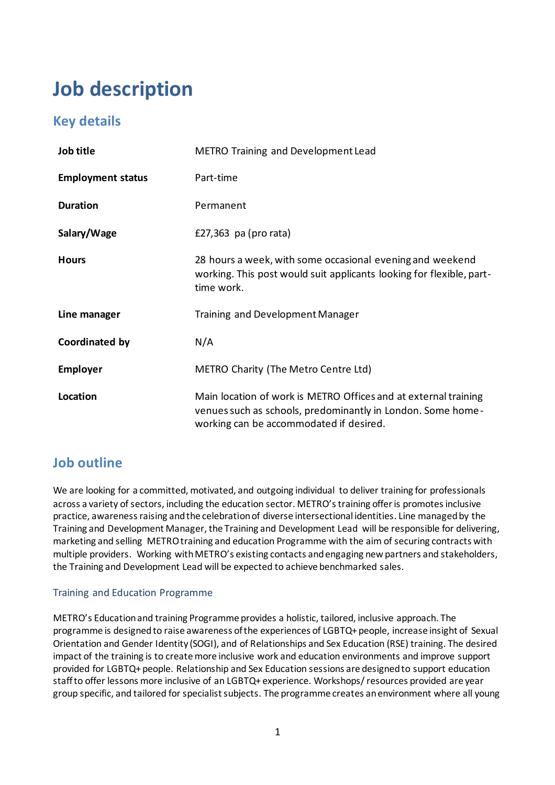# **Job description**

## **Key details**

| Job title                | <b>METRO Training and Development Lead</b>                                                                                                                                |
|--------------------------|---------------------------------------------------------------------------------------------------------------------------------------------------------------------------|
| <b>Employment status</b> | Part-time                                                                                                                                                                 |
| <b>Duration</b>          | Permanent                                                                                                                                                                 |
| Salary/Wage              | £27,363 pa (pro rata)                                                                                                                                                     |
| <b>Hours</b>             | 28 hours a week, with some occasional evening and weekend<br>working. This post would suit applicants looking for flexible, part-<br>time work.                           |
| Line manager             | Training and Development Manager                                                                                                                                          |
| Coordinated by           | N/A                                                                                                                                                                       |
| <b>Employer</b>          | METRO Charity (The Metro Centre Ltd)                                                                                                                                      |
| Location                 | Main location of work is METRO Offices and at external training<br>venues such as schools, predominantly in London. Some home-<br>working can be accommodated if desired. |

## **Job outline**

We are looking for a committed, motivated, and outgoing individual to deliver training for professionals across a variety of sectors, including the education sector. METRO's training offer is promotes inclusive practice, awareness raising and the celebration of diverse intersectional identities. Line managed by the Training and Development Manager, the Training and Development Lead will be responsible for delivering, marketing and selling METRO training and education Programme with the aim of securing contracts with multiple providers. Working with METRO's existing contacts and engaging new partners and stakeholders, the Training and Development Lead will be expected to achieve benchmarked sales.

#### Training and Education Programme

METRO's Education and training Programme provides a holistic, tailored, inclusive approach. The programme is designed to raise awareness of the experiences of LGBTQ+ people, increase insight of Sexual Orientation and Gender Identity (SOGI), and of Relationships and Sex Education (RSE) training. The desired impact of the training is to create more inclusive work and education environments and improve support provided for LGBTQ+ people. Relationship and Sex Education sessions are designed to support education staff to offer lessons more inclusive of an LGBTQ+ experience. Workshops/ resources provided are year group specific, and tailored for specialist subjects. The programme creates an environment where all young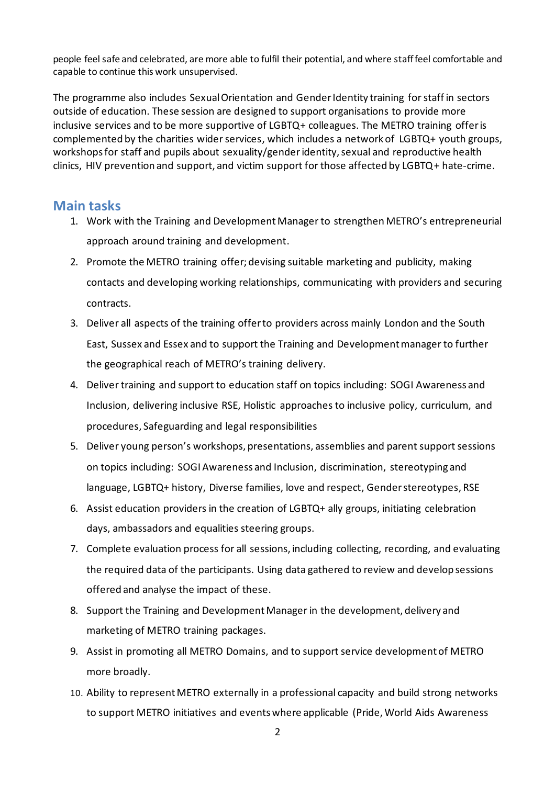people feel safe and celebrated, are more able to fulfil their potential, and where staff feel comfortable and capable to continue this work unsupervised.

The programme also includes Sexual Orientation and Gender Identity training for staff in sectors outside of education. These session are designed to support organisations to provide more inclusive services and to be more supportive of LGBTQ+ colleagues. The METRO training offer is complemented by the charities wider services, which includes a network of LGBTQ+ youth groups, workshops for staff and pupils about sexuality/genderidentity, sexual and reproductive health clinics, HIV prevention and support, and victim support for those affected by LGBTQ+ hate-crime.

### **Main tasks**

- 1. Work with the Training and Development Manager to strengthen METRO's entrepreneurial approach around training and development.
- 2. Promote the METRO training offer; devising suitable marketing and publicity, making contacts and developing working relationships, communicating with providers and securing contracts.
- 3. Deliver all aspects of the training offer to providers across mainly London and the South East, Sussex and Essex and to support the Training and Development manager to further the geographical reach of METRO's training delivery.
- 4. Deliver training and support to education staff on topics including: SOGI Awareness and Inclusion, delivering inclusive RSE, Holistic approaches to inclusive policy, curriculum, and procedures, Safeguarding and legal responsibilities
- 5. Deliver young person's workshops, presentations, assemblies and parent support sessions on topics including: SOGI Awareness and Inclusion, discrimination, stereotyping and language, LGBTQ+ history, Diverse families, love and respect, Gender stereotypes, RSE
- 6. Assist education providers in the creation of LGBTQ+ ally groups, initiating celebration days, ambassadors and equalities steering groups.
- 7. Complete evaluation process for all sessions, including collecting, recording, and evaluating the required data of the participants. Using data gathered to review and develop sessions offered and analyse the impact of these.
- 8. Support the Training and Development Manager in the development, delivery and marketing of METRO training packages.
- 9. Assist in promoting all METRO Domains, and to support service development of METRO more broadly.
- 10. Ability to represent METRO externally in a professional capacity and build strong networks to support METRO initiatives and events where applicable (Pride, World Aids Awareness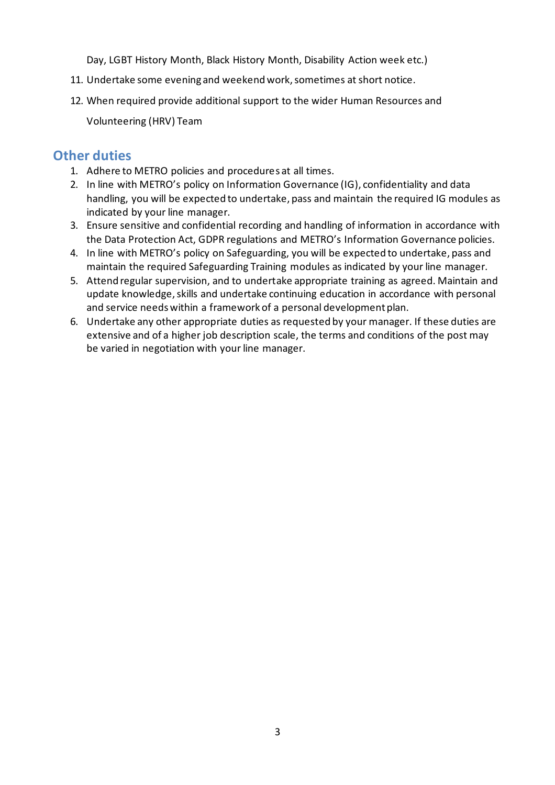Day, LGBT History Month, Black History Month, Disability Action week etc.)

- 11. Undertake some evening and weekend work, sometimes at short notice.
- 12. When required provide additional support to the wider Human Resources and

Volunteering (HRV) Team

### **Other duties**

- 1. Adhere to METRO policies and procedures at all times.
- 2. In line with METRO's policy on Information Governance (IG), confidentiality and data handling, you will be expected to undertake, pass and maintain the required IG modules as indicated by your line manager.
- 3. Ensure sensitive and confidential recording and handling of information in accordance with the Data Protection Act, GDPR regulations and METRO's Information Governance policies.
- 4. In line with METRO's policy on Safeguarding, you will be expected to undertake, pass and maintain the required Safeguarding Training modules as indicated by your line manager.
- 5. Attend regular supervision, and to undertake appropriate training as agreed. Maintain and update knowledge, skills and undertake continuing education in accordance with personal and service needs within a framework of a personal development plan.
- 6. Undertake any other appropriate duties as requested by your manager. If these duties are extensive and of a higher job description scale, the terms and conditions of the post may be varied in negotiation with your line manager.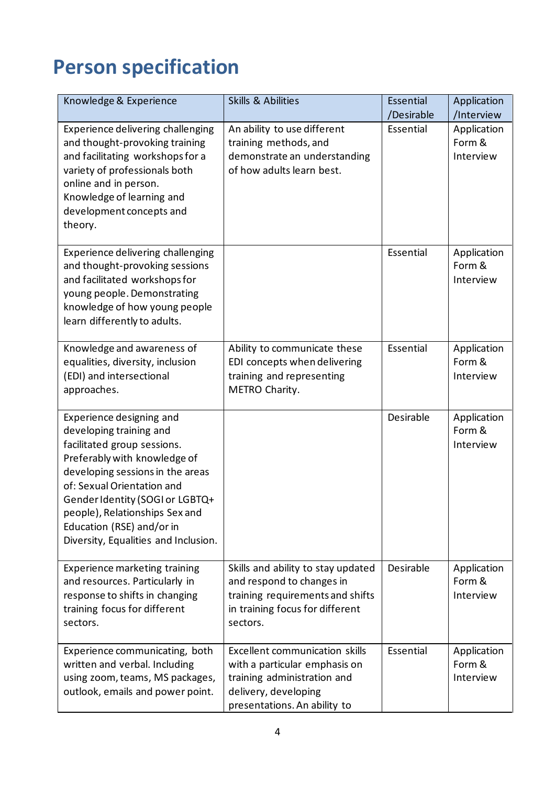# **Person specification**

| Knowledge & Experience                                                                                                                                                                                                                                                                                                         | <b>Skills &amp; Abilities</b>                                                                                                                                 | Essential<br>/Desirable | Application<br>/Interview          |
|--------------------------------------------------------------------------------------------------------------------------------------------------------------------------------------------------------------------------------------------------------------------------------------------------------------------------------|---------------------------------------------------------------------------------------------------------------------------------------------------------------|-------------------------|------------------------------------|
| Experience delivering challenging<br>and thought-provoking training<br>and facilitating workshops for a<br>variety of professionals both<br>online and in person.<br>Knowledge of learning and<br>development concepts and<br>theory.                                                                                          | An ability to use different<br>training methods, and<br>demonstrate an understanding<br>of how adults learn best.                                             | Essential               | Application<br>Form &<br>Interview |
| Experience delivering challenging<br>and thought-provoking sessions<br>and facilitated workshops for<br>young people. Demonstrating<br>knowledge of how young people<br>learn differently to adults.                                                                                                                           |                                                                                                                                                               | Essential               | Application<br>Form &<br>Interview |
| Knowledge and awareness of<br>equalities, diversity, inclusion<br>(EDI) and intersectional<br>approaches.                                                                                                                                                                                                                      | Ability to communicate these<br>EDI concepts when delivering<br>training and representing<br>METRO Charity.                                                   | Essential               | Application<br>Form &<br>Interview |
| Experience designing and<br>developing training and<br>facilitated group sessions.<br>Preferably with knowledge of<br>developing sessions in the areas<br>of: Sexual Orientation and<br>Gender Identity (SOGI or LGBTQ+<br>people), Relationships Sex and<br>Education (RSE) and/or in<br>Diversity, Equalities and Inclusion. |                                                                                                                                                               | Desirable               | Application<br>Form &<br>Interview |
| <b>Experience marketing training</b><br>and resources. Particularly in<br>response to shifts in changing<br>training focus for different<br>sectors.                                                                                                                                                                           | Skills and ability to stay updated<br>and respond to changes in<br>training requirements and shifts<br>in training focus for different<br>sectors.            | Desirable               | Application<br>Form &<br>Interview |
| Experience communicating, both<br>written and verbal. Including<br>using zoom, teams, MS packages,<br>outlook, emails and power point.                                                                                                                                                                                         | <b>Excellent communication skills</b><br>with a particular emphasis on<br>training administration and<br>delivery, developing<br>presentations. An ability to | Essential               | Application<br>Form &<br>Interview |